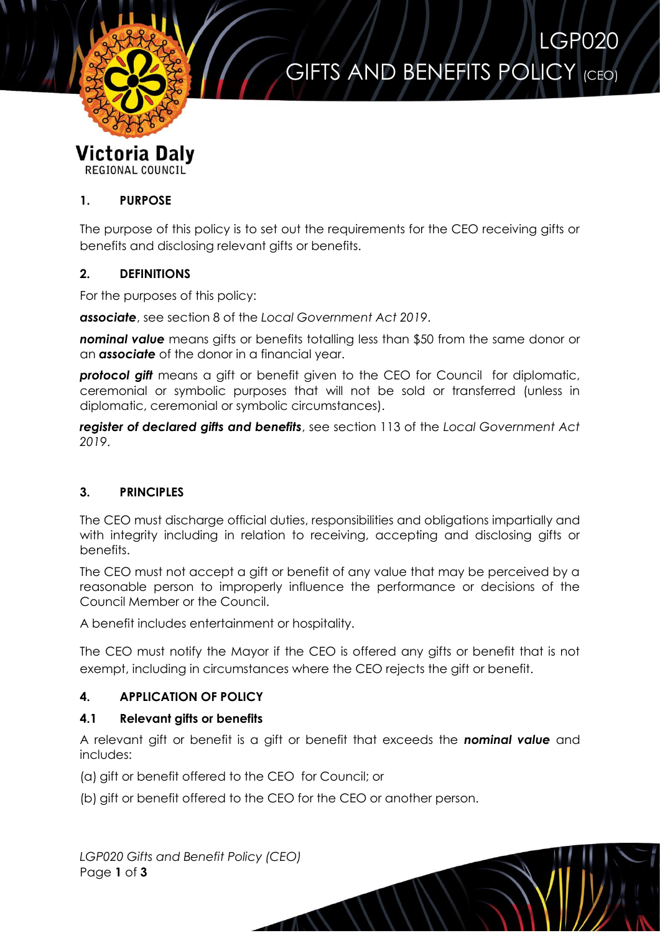

# GIFTS AND BENEFITS POLICY (CEO)

LGP020

#### **Victoria Daly** REGIONAL COUNCIL

## **1. PURPOSE**

The purpose of this policy is to set out the requirements for the CEO receiving gifts or benefits and disclosing relevant gifts or benefits.

### **2. DEFINITIONS**

For the purposes of this policy:

*associate*, see section 8 of the *Local Government Act 2019*.

**nominal value** means gifts or benefits totalling less than \$50 from the same donor or an *associate* of the donor in a financial year.

*protocol gift* means a gift or benefit given to the CEO for Council for diplomatic, ceremonial or symbolic purposes that will not be sold or transferred (unless in diplomatic, ceremonial or symbolic circumstances).

*register of declared gifts and benefits*, see section 113 of the *Local Government Act 2019*.

## **3. PRINCIPLES**

The CEO must discharge official duties, responsibilities and obligations impartially and with integrity including in relation to receiving, accepting and disclosina aifts or benefits.

The CEO must not accept a gift or benefit of any value that may be perceived by a reasonable person to improperly influence the performance or decisions of the Council Member or the Council.

A benefit includes entertainment or hospitality.

The CEO must notify the Mayor if the CEO is offered any gifts or benefit that is not exempt, including in circumstances where the CEO rejects the gift or benefit.

## **4. APPLICATION OF POLICY**

#### **4.1 Relevant gifts or benefits**

A relevant gift or benefit is a gift or benefit that exceeds the *nominal value* and includes:

(a) gift or benefit offered to the CEO for Council; or

(b) gift or benefit offered to the CEO for the CEO or another person.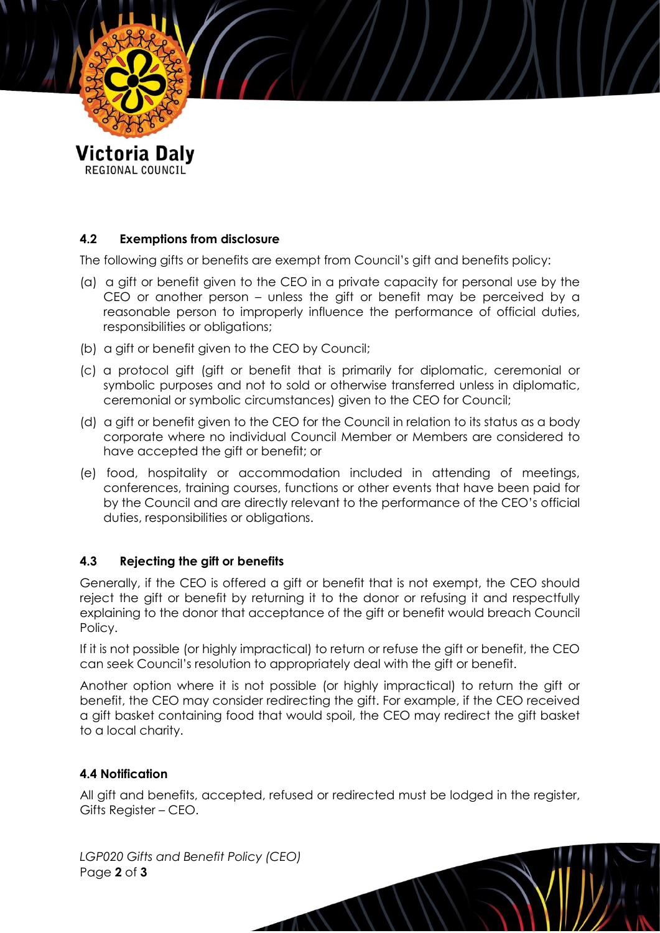

REGIONAL COUNCIL

## **4.2 Exemptions from disclosure**

The following gifts or benefits are exempt from Council's gift and benefits policy:

- (a) a gift or benefit given to the CEO in a private capacity for personal use by the CEO or another person – unless the gift or benefit may be perceived by a reasonable person to improperly influence the performance of official duties, responsibilities or obligations;
- (b) a gift or benefit given to the CEO by Council;
- (c) a protocol gift (gift or benefit that is primarily for diplomatic, ceremonial or symbolic purposes and not to sold or otherwise transferred unless in diplomatic, ceremonial or symbolic circumstances) given to the CEO for Council;
- (d) a gift or benefit given to the CEO for the Council in relation to its status as a body corporate where no individual Council Member or Members are considered to have accepted the gift or benefit; or
- (e) food, hospitality or accommodation included in attending of meetings, conferences, training courses, functions or other events that have been paid for by the Council and are directly relevant to the performance of the CEO's official duties, responsibilities or obligations.

#### **4.3 Rejecting the gift or benefits**

Generally, if the CEO is offered a gift or benefit that is not exempt, the CEO should reject the gift or benefit by returning it to the donor or refusing it and respectfully explaining to the donor that acceptance of the gift or benefit would breach Council Policy.

If it is not possible (or highly impractical) to return or refuse the gift or benefit, the CEO can seek Council's resolution to appropriately deal with the gift or benefit.

Another option where it is not possible (or highly impractical) to return the gift or benefit, the CEO may consider redirecting the gift. For example, if the CEO received a gift basket containing food that would spoil, the CEO may redirect the gift basket to a local charity.

#### **4.4 Notification**

All gift and benefits, accepted, refused or redirected must be lodged in the register, Gifts Register – CEO.

*LGP020 Gifts and Benefit Policy (CEO)* Page **2** of **3**